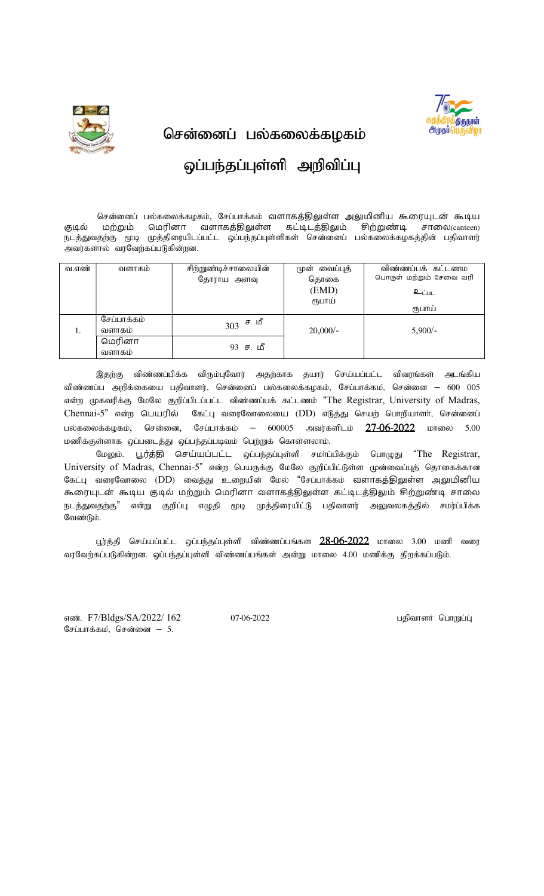

சென்னைப் பல்கலைக்கழகம்

## ஒப்பந்தப்புள்ளி அறிவிப்பு

சென்னைப் பல்கலைக்கழகம், சேப்பாக்கம் வளாகத்திலுள்ள அலுமினிய கூரையுடன் கூடிய குடில் மற்றும் மெரினா வளாகத்திலுள்ள கட்டிடத்திலும் சிற்றுண்டி சாலை(canteen) நடத்துவதற்கு மூடி முத்திரையிடப்பட்ட ஒப்பந்தப்புள்ளிகள் சென்னைப் பல்கலைக்கழகத்தின் பதிவாளர் அவர்களால் வரவேற்கப்படுகின்றன.

| வ.எண் | வளாகம                 | சிற்றுண்டிச்சாலையின் | முன் வைப்புத்<br>தொகை | விண்ணப்பக் கட்டணம<br>பொருள் மற்றும் சேவை வரி |
|-------|-----------------------|----------------------|-----------------------|----------------------------------------------|
|       |                       | தோராய அளவு           | (EMD)                 | உ <sub>ட்பட</sub>                            |
|       |                       |                      | ரூபாய்                | ரூபாய்                                       |
| 1.    | சேப்பாக்கம்<br>வளாகம் | ச. மீ<br>303         | $20,000/-$            | $5,900/-$                                    |
|       | மெரினா<br>வளாகம்      | $93$ ச. மீ           |                       |                                              |

இதற்கு விண்ணப்பிக்க விரும்புவோர் அதற்காக தயார் செய்யப்பட்ட விவரங்கள் அடங்கிய விண்ணப்ப அறிக்கையை பதிவாளர், சென்னைப் பல்கலைக்கழகம், சேப்பாக்கம், சென்னை — 600 005 என்ற முகவரிக்கு மேலே குறிப்பிடப்பட்ட விண்ணப்பக் கட்டணம் "The Registrar, University of Madras, Chennai-5" என்ற பெயரில் கேட்பு வரைவோலையை (DD) எடுத்து செயற் பொறியாளர், சென்னைப் பல்கலைக்கழகம், சென்னை, சேப்பாக்கம் — 600005 அவர்களிடம் 27-06-2022 மாலை 5.00 மணிக்குள்ளாக ஒப்படைத்து ஒப்பந்தப்படிவம் பெற்றுக் கொள்ளலாம்.

மேலும். பூர்த்தி செய்யப்பட்ட ஒப்பந்தப்புள்ளி சமா்ப்பிக்கும் பொழுது "The Registrar, University of Madras, Chennai-5" என்ற பெயருக்கு மேலே குறிப்பிட்டுள்ள முன்வைப்புத் தொகைக்கான கேட்பு வரைவோலை (DD) வைத்து உறையின் மேல் "சேப்பாக்கம் வளாகத்திலுள்ள அலுமினிய கூரையுடன் கூடிய குடில் மற்றும் மெரினா வளாகத்திலுள்ள கட்டிடத்திலும் சிற்றுண்டி சாலை நடத்துவதற்கு" என்று குறிப்பு எழுதி மூடி முத்திரையிட்டு பதிவாளர் அலுவலகத்தில் சமர்ப்பிக்க வேண்டும்.

பூர்த்தி செய்யப்பட்ட ஒப்பந்தப்புள்ளி விண்ணப்பங்கள 28<del>-06-2022</del> மாலை 3.00 மணி வரை வரவேற்கப்படுகின்றன. ஒப்பந்தப்புள்ளி விண்ணப்பங்கள் அன்று மாலை 4.00 மணிக்கு திறக்கப்படும்.

vz;. F7/Bldgs/SA/2022/ 162 07-06-2022 gjpthsH nghWg;G; சேப்பாக்கம், சென்னை  $-5$ .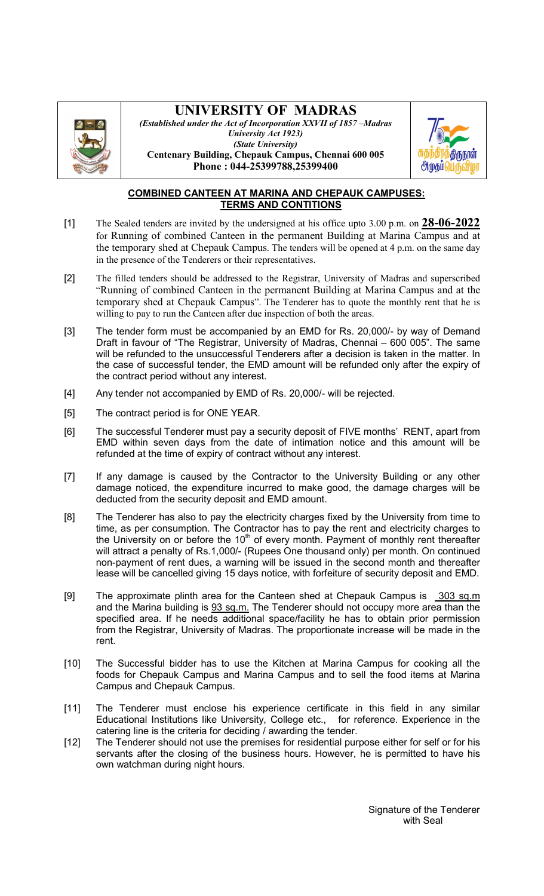

## UNIVERSITY OF MADRAS

(Established under the Act of Incorporation XXVII of 1857 –Madras University Act 1923) (State University) Centenary Building, Chepauk Campus, Chennai 600 005 Phone : 044-25399788,25399400



## COMBINED CANTEEN AT MARINA AND CHEPAUK CAMPUSES: TERMS AND CONTITIONS

- [1] The Sealed tenders are invited by the undersigned at his office upto 3.00 p.m. on  $28-06-2022$ for Running of combined Canteen in the permanent Building at Marina Campus and at the temporary shed at Chepauk Campus. The tenders will be opened at 4 p.m. on the same day in the presence of the Tenderers or their representatives.
- [2] The filled tenders should be addressed to the Registrar, University of Madras and superscribed "Running of combined Canteen in the permanent Building at Marina Campus and at the temporary shed at Chepauk Campus". The Tenderer has to quote the monthly rent that he is willing to pay to run the Canteen after due inspection of both the areas.
- [3] The tender form must be accompanied by an EMD for Rs. 20,000/- by way of Demand Draft in favour of "The Registrar, University of Madras, Chennai – 600 005". The same will be refunded to the unsuccessful Tenderers after a decision is taken in the matter. In the case of successful tender, the EMD amount will be refunded only after the expiry of the contract period without any interest.
- [4] Any tender not accompanied by EMD of Rs. 20,000/- will be rejected.
- [5] The contract period is for ONE YEAR.
- [6] The successful Tenderer must pay a security deposit of FIVE months' RENT, apart from EMD within seven days from the date of intimation notice and this amount will be refunded at the time of expiry of contract without any interest.
- [7] If any damage is caused by the Contractor to the University Building or any other damage noticed, the expenditure incurred to make good, the damage charges will be deducted from the security deposit and EMD amount.
- [8] The Tenderer has also to pay the electricity charges fixed by the University from time to time, as per consumption. The Contractor has to pay the rent and electricity charges to the University on or before the  $10<sup>th</sup>$  of every month. Payment of monthly rent thereafter will attract a penalty of Rs.1,000/- (Rupees One thousand only) per month. On continued non-payment of rent dues, a warning will be issued in the second month and thereafter lease will be cancelled giving 15 days notice, with forfeiture of security deposit and EMD.
- [9] The approximate plinth area for the Canteen shed at Chepauk Campus is 303 sq.m and the Marina building is  $93$  sq.m. The Tenderer should not occupy more area than the specified area. If he needs additional space/facility he has to obtain prior permission from the Registrar, University of Madras. The proportionate increase will be made in the rent.
- [10] The Successful bidder has to use the Kitchen at Marina Campus for cooking all the foods for Chepauk Campus and Marina Campus and to sell the food items at Marina Campus and Chepauk Campus.
- [11] The Tenderer must enclose his experience certificate in this field in any similar Educational Institutions like University, College etc., for reference. Experience in the catering line is the criteria for deciding / awarding the tender.
- [12] The Tenderer should not use the premises for residential purpose either for self or for his servants after the closing of the business hours. However, he is permitted to have his own watchman during night hours.